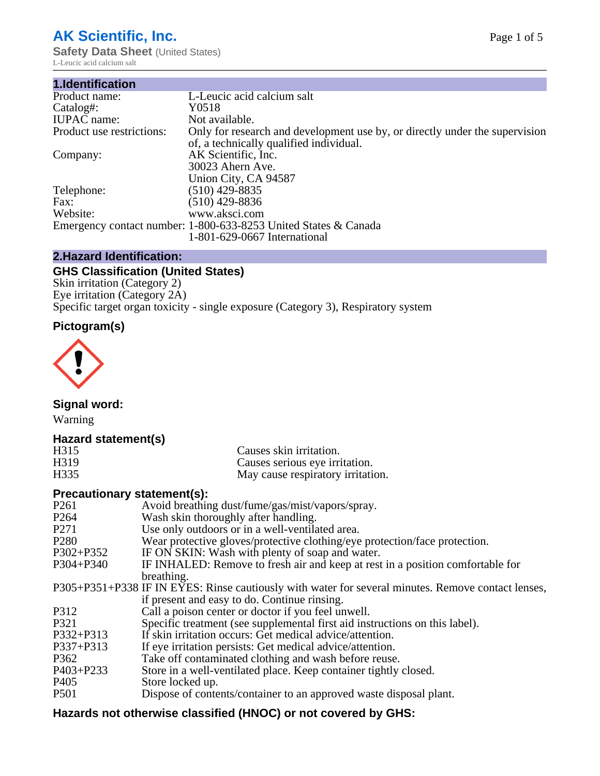# **AK Scientific, Inc.**

**Safety Data Sheet (United States)** L-Leucic acid calcium salt

| 1.Identification          |                                                                                                                        |
|---------------------------|------------------------------------------------------------------------------------------------------------------------|
| Product name:             | L-Leucic acid calcium salt                                                                                             |
| Catalog#:                 | Y0518                                                                                                                  |
| <b>IUPAC</b> name:        | Not available.                                                                                                         |
| Product use restrictions: | Only for research and development use by, or directly under the supervision<br>of, a technically qualified individual. |
| Company:                  | AK Scientific, Inc.<br>30023 Ahern Ave.<br>Union City, CA 94587                                                        |
| Telephone:                | $(510)$ 429-8835                                                                                                       |
| Fax:                      | (510) 429-8836                                                                                                         |
| Website:                  | www.aksci.com                                                                                                          |
|                           | Emergency contact number: 1-800-633-8253 United States & Canada<br>1-801-629-0667 International                        |

# **2.Hazard Identification:**

# **GHS Classification (United States)**

Skin irritation (Category 2) Eye irritation (Category 2A) Specific target organ toxicity - single exposure (Category 3), Respiratory system

# **Pictogram(s)**



**Signal word:**

Warning

# **Hazard statement(s)**

| H <sub>315</sub>  | Causes skin irritation.           |
|-------------------|-----------------------------------|
| H <sub>3</sub> 19 | Causes serious eye irritation.    |
| H335              | May cause respiratory irritation. |

# **Precautionary statement(s):**

| P <sub>261</sub> | Avoid breathing dust/fume/gas/mist/vapors/spray.                                                   |
|------------------|----------------------------------------------------------------------------------------------------|
| P <sub>264</sub> | Wash skin thoroughly after handling.                                                               |
| P <sub>271</sub> | Use only outdoors or in a well-ventilated area.                                                    |
| P <sub>280</sub> | Wear protective gloves/protective clothing/eye protection/face protection.                         |
| P302+P352        | IF ON SKIN: Wash with plenty of soap and water.                                                    |
| $P304 + P340$    | IF INHALED: Remove to fresh air and keep at rest in a position comfortable for                     |
|                  | breathing.                                                                                         |
|                  | P305+P351+P338 IF IN EYES: Rinse cautiously with water for several minutes. Remove contact lenses, |
|                  | if present and easy to do. Continue rinsing.                                                       |
| P312             | Call a poison center or doctor if you feel unwell.                                                 |
| P321             | Specific treatment (see supplemental first aid instructions on this label).                        |
| P332+P313        | If skin irritation occurs: Get medical advice/attention.                                           |
| P337+P313        | If eye irritation persists: Get medical advice/attention.                                          |
| P362             | Take off contaminated clothing and wash before reuse.                                              |
| $P403 + P233$    | Store in a well-ventilated place. Keep container tightly closed.                                   |
| P <sub>405</sub> | Store locked up.                                                                                   |
| P <sub>501</sub> | Dispose of contents/container to an approved waste disposal plant.                                 |
|                  |                                                                                                    |

# **Hazards not otherwise classified (HNOC) or not covered by GHS:**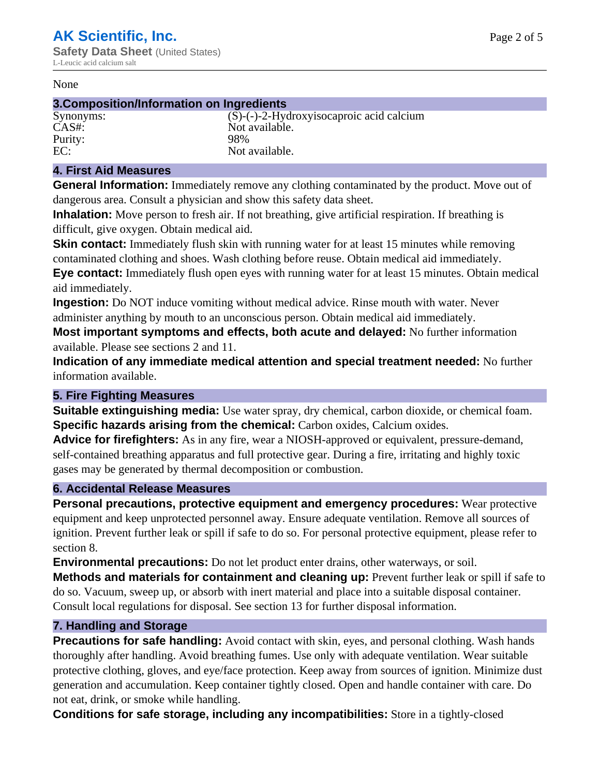#### None

### **3.Composition/Information on Ingredients**

| Synonyms:       | $(S)-($ |
|-----------------|---------|
| CAS#:           | Not :   |
| Purity:         | 98%     |
| FC <sup>1</sup> | Not :   |

 $(S)$ -(-)-2-Hydroxyisocaproic acid calcium Not available. Not available.

# **4. First Aid Measures**

**General Information:** Immediately remove any clothing contaminated by the product. Move out of dangerous area. Consult a physician and show this safety data sheet.

**Inhalation:** Move person to fresh air. If not breathing, give artificial respiration. If breathing is difficult, give oxygen. Obtain medical aid.

**Skin contact:** Immediately flush skin with running water for at least 15 minutes while removing contaminated clothing and shoes. Wash clothing before reuse. Obtain medical aid immediately. **Eye contact:** Immediately flush open eyes with running water for at least 15 minutes. Obtain medical aid immediately.

**Ingestion:** Do NOT induce vomiting without medical advice. Rinse mouth with water. Never administer anything by mouth to an unconscious person. Obtain medical aid immediately.

**Most important symptoms and effects, both acute and delayed:** No further information available. Please see sections 2 and 11.

**Indication of any immediate medical attention and special treatment needed:** No further information available.

# **5. Fire Fighting Measures**

**Suitable extinguishing media:** Use water spray, dry chemical, carbon dioxide, or chemical foam. **Specific hazards arising from the chemical:** Carbon oxides, Calcium oxides.

**Advice for firefighters:** As in any fire, wear a NIOSH-approved or equivalent, pressure-demand, self-contained breathing apparatus and full protective gear. During a fire, irritating and highly toxic gases may be generated by thermal decomposition or combustion.

# **6. Accidental Release Measures**

**Personal precautions, protective equipment and emergency procedures:** Wear protective equipment and keep unprotected personnel away. Ensure adequate ventilation. Remove all sources of ignition. Prevent further leak or spill if safe to do so. For personal protective equipment, please refer to section 8.

**Environmental precautions:** Do not let product enter drains, other waterways, or soil.

**Methods and materials for containment and cleaning up:** Prevent further leak or spill if safe to do so. Vacuum, sweep up, or absorb with inert material and place into a suitable disposal container. Consult local regulations for disposal. See section 13 for further disposal information.

# **7. Handling and Storage**

**Precautions for safe handling:** Avoid contact with skin, eyes, and personal clothing. Wash hands thoroughly after handling. Avoid breathing fumes. Use only with adequate ventilation. Wear suitable protective clothing, gloves, and eye/face protection. Keep away from sources of ignition. Minimize dust generation and accumulation. Keep container tightly closed. Open and handle container with care. Do not eat, drink, or smoke while handling.

**Conditions for safe storage, including any incompatibilities:** Store in a tightly-closed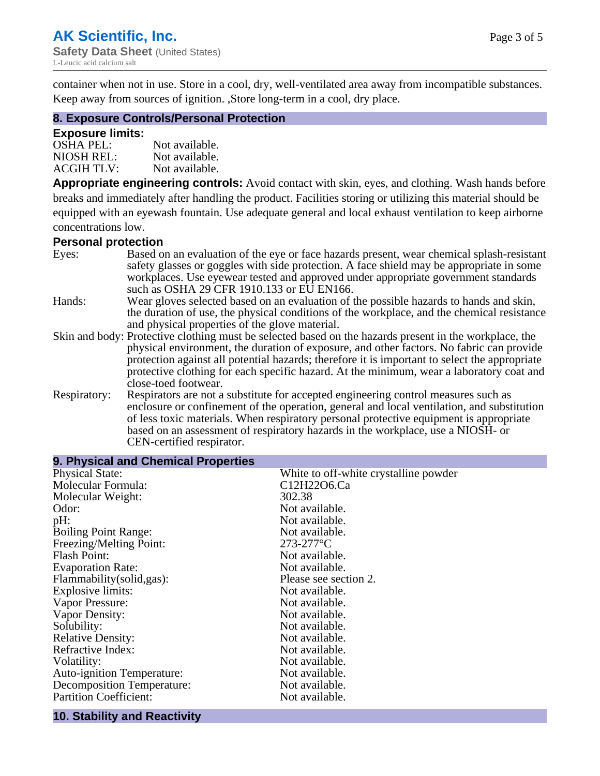container when not in use. Store in a cool, dry, well-ventilated area away from incompatible substances. Keep away from sources of ignition. ,Store long-term in a cool, dry place.

# **8. Exposure Controls/Personal Protection**

#### **Exposure limits:**

| <b>OSHA PEL:</b>  | Not available. |
|-------------------|----------------|
| NIOSH REL:        | Not available. |
| <b>ACGIH TLV:</b> | Not available. |

**Appropriate engineering controls:** Avoid contact with skin, eyes, and clothing. Wash hands before breaks and immediately after handling the product. Facilities storing or utilizing this material should be equipped with an eyewash fountain. Use adequate general and local exhaust ventilation to keep airborne concentrations low.

#### **Personal protection**

| Eyes:        | Based on an evaluation of the eye or face hazards present, wear chemical splash-resistant<br>safety glasses or goggles with side protection. A face shield may be appropriate in some |
|--------------|---------------------------------------------------------------------------------------------------------------------------------------------------------------------------------------|
|              | workplaces. Use eyewear tested and approved under appropriate government standards<br>such as OSHA 29 CFR 1910.133 or EU EN166.                                                       |
| Hands:       | Wear gloves selected based on an evaluation of the possible hazards to hands and skin,                                                                                                |
|              | the duration of use, the physical conditions of the workplace, and the chemical resistance                                                                                            |
|              | and physical properties of the glove material.                                                                                                                                        |
|              | Skin and body: Protective clothing must be selected based on the hazards present in the workplace, the                                                                                |
|              | physical environment, the duration of exposure, and other factors. No fabric can provide                                                                                              |
|              | protection against all potential hazards; therefore it is important to select the appropriate                                                                                         |
|              | protective clothing for each specific hazard. At the minimum, wear a laboratory coat and                                                                                              |
|              | close-toed footwear.                                                                                                                                                                  |
| Respiratory: | Respirators are not a substitute for accepted engineering control measures such as<br>enclosure or confinement of the operation, general and local ventilation, and substitution      |
|              | of less toxic materials. When respiratory personal protective equipment is appropriate                                                                                                |
|              | based on an assessment of respiratory hazards in the workplace, use a NIOSH- or                                                                                                       |
|              | CEN-certified respirator.                                                                                                                                                             |

| 9. Physical and Chemical Properties |                                       |
|-------------------------------------|---------------------------------------|
| <b>Physical State:</b>              | White to off-white crystalline powder |
| Molecular Formula:                  | C12H22O6.Ca                           |
| Molecular Weight:                   | 302.38                                |
| Odor:                               | Not available.                        |
| pH:                                 | Not available.                        |
| <b>Boiling Point Range:</b>         | Not available.                        |
| Freezing/Melting Point:             | $273 - 277$ °C                        |
| <b>Flash Point:</b>                 | Not available.                        |
| <b>Evaporation Rate:</b>            | Not available.                        |
| Flammability(solid,gas):            | Please see section 2.                 |
| Explosive limits:                   | Not available.                        |
| Vapor Pressure:                     | Not available.                        |
| Vapor Density:                      | Not available.                        |
| Solubility:                         | Not available.                        |
| <b>Relative Density:</b>            | Not available.                        |
| Refractive Index:                   | Not available.                        |
| Volatility:                         | Not available.                        |
| <b>Auto-ignition Temperature:</b>   | Not available.                        |
| Decomposition Temperature:          | Not available.                        |
| <b>Partition Coefficient:</b>       | Not available.                        |

#### **10. Stability and Reactivity**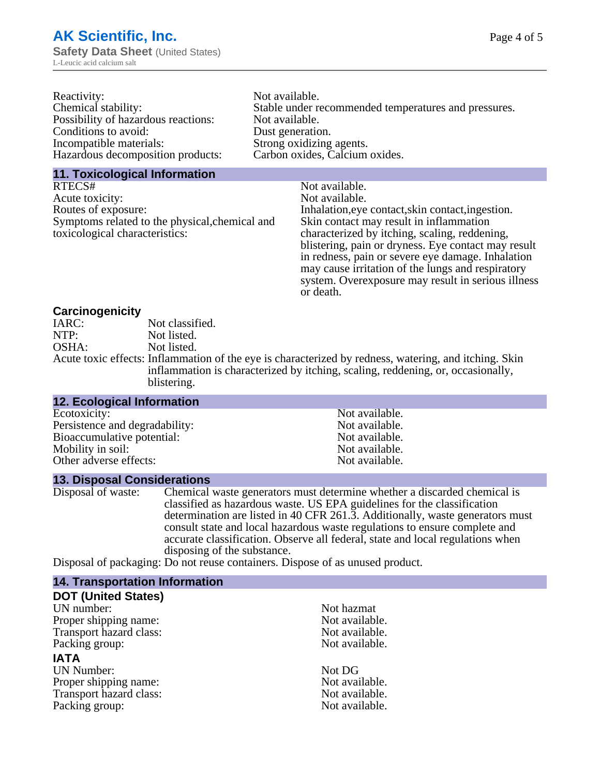| Reactivity:                         | Not available.                                       |
|-------------------------------------|------------------------------------------------------|
| Chemical stability:                 | Stable under recommended temperatures and pressures. |
| Possibility of hazardous reactions: | Not available.                                       |
| Conditions to avoid:                | Dust generation.                                     |
| Incompatible materials:             | Strong oxidizing agents.                             |
| Hazardous decomposition products:   | Carbon oxides, Calcium oxides.                       |
|                                     |                                                      |

#### **11. Toxicological Information**

| RTECS#                                         | Not available.                                      |
|------------------------------------------------|-----------------------------------------------------|
| Acute toxicity:                                | Not available.                                      |
| Routes of exposure:                            | Inhalation, eye contact, skin contact, ingestion.   |
| Symptoms related to the physical, chemical and | Skin contact may result in inflammation             |
| toxicological characteristics:                 | characterized by itching, scaling, reddening,       |
|                                                | blistering, pain or dryness. Eye contact may result |
|                                                | in redness, pain or severe eye damage. Inhalation   |
|                                                | may cause irritation of the lungs and respiratory   |
|                                                | system. Overexposure may result in serious illness  |

or death.

#### **Carcinogenicity**

| IARC: | Not classified.                                                                                       |
|-------|-------------------------------------------------------------------------------------------------------|
| NTP:  | Not listed.                                                                                           |
| OSHA: | Not listed.                                                                                           |
|       | Acute toxic effects: Inflammation of the eye is characterized by redness, watering, and itching. Skin |
|       | inflammation is characterized by itching, scaling, reddening, or, occasionally,                       |
|       | blistering.                                                                                           |

| <b>12. Ecological Information</b> |                |
|-----------------------------------|----------------|
| Ecotoxicity:                      | Not available. |
| Persistence and degradability:    | Not available. |
| Bioaccumulative potential:        | Not available. |
| Mobility in soil:                 | Not available. |
| Other adverse effects:            | Not available. |

#### **13. Disposal Considerations**

Disposal of waste: Chemical waste generators must determine whether a discarded chemical is classified as hazardous waste. US EPA guidelines for the classification determination are listed in 40 CFR 261.3. Additionally, waste generators must consult state and local hazardous waste regulations to ensure complete and accurate classification. Observe all federal, state and local regulations when disposing of the substance.

Disposal of packaging: Do not reuse containers. Dispose of as unused product.

| <b>14. Transportation Information</b> |                |
|---------------------------------------|----------------|
| <b>DOT (United States)</b>            |                |
| UN number:                            | Not hazmat     |
| Proper shipping name:                 | Not available. |
| Transport hazard class:               | Not available. |
| Packing group:                        | Not available. |
| <b>IATA</b>                           |                |
| <b>UN Number:</b>                     | Not DG         |
| Proper shipping name:                 | Not available. |
| Transport hazard class:               | Not available. |
| Packing group:                        | Not available. |